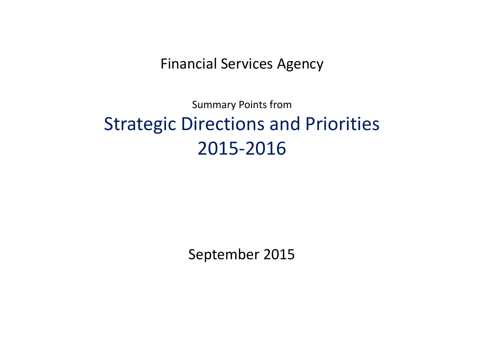Financial Services Agency

Summary Points from Strategic Directions and Priorities 2015-2016

September 2015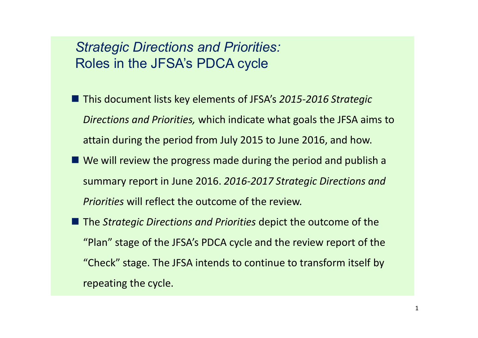### *Strategic Directions and Priorities:*  Roles in the JFSA's PDCA cycle

- This document lists key elements of JFSA's 2015-2016 Strategic *Directions and Priorities,* which indicate what goals the JFSA aims to attain during the period from July 2015 to June 2016, and how.
- We will review the progress made during the period and publish a summary report in June 2016. *2016-2017 Strategic Directions and Priorities* will reflect the outcome of the review.
- The *Strategic Directions and Priorities* depict the outcome of the "Plan" stage of the JFSA's PDCA cycle and the review report of the "Check" stage. The JFSA intends to continue to transform itself by repeating the cycle.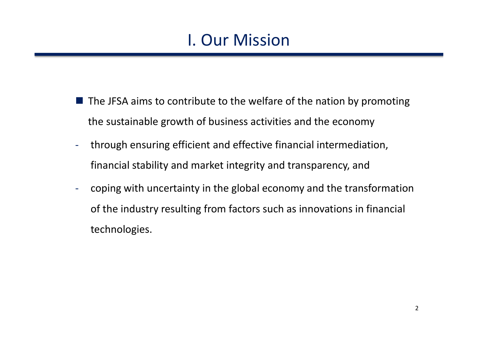# I. Our Mission

- $\blacksquare$  The JFSA aims to contribute to the welfare of the nation by promoting the sustainable growth of business activities and the economy
- through ensuring efficient and effective financial intermediation, financial stability and market integrity and transparency, and
- coping with uncertainty in the global economy and the transformation of the industry resulting from factors such as innovations in financial technologies.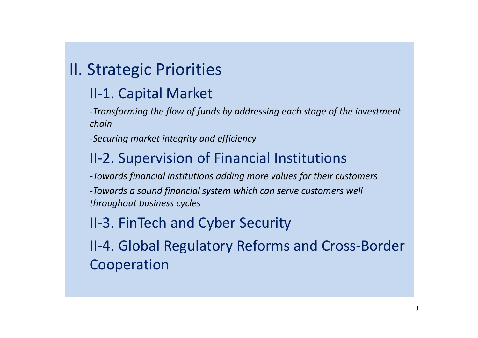# II. Strategic Priorities

## II-1. Capital Market

*-Transforming the flow of funds by addressing each stage of the investment chain*

*-Securing market integrity and efficiency*

## II-2. Supervision of Financial Institutions

*-Towards financial institutions adding more values for their customers -Towards a sound financial system which can serve customers well throughout business cycles*

## II-3. FinTech and Cyber Security

II-4. Global Regulatory Reforms and Cross-Border Cooperation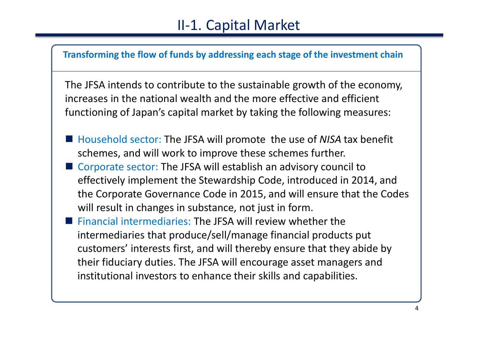

The JFSA intends to contribute to the sustainable growth of the economy, increases in the national wealth and the more effective and efficient functioning of Japan's capital market by taking the following measures:

- Household sector: The JFSA will promote the use of *NISA* tax benefit schemes, and will work to improve these schemes further.
- Corporate sector: The JFSA will establish an advisory council to effectively implement the Stewardship Code, introduced in 2014, and the Corporate Governance Code in 2015, and will ensure that the Codes will result in changes in substance, not just in form.
- Financial intermediaries: The JFSA will review whether the intermediaries that produce/sell/manage financial products put customers' interests first, and will thereby ensure that they abide by their fiduciary duties. The JFSA will encourage asset managers and institutional investors to enhance their skills and capabilities.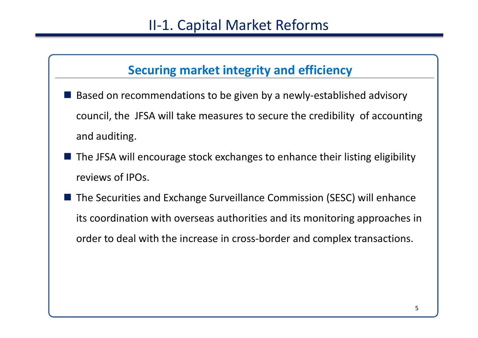### **Securing market integrity and efficiency**

- Based on recommendations to be given by a newly-established advisory council, the JFSA will take measures to secure the credibility of accounting and auditing.
- $\blacksquare$  The JFSA will encourage stock exchanges to enhance their listing eligibility reviews of IPOs.
- The Securities and Exchange Surveillance Commission (SESC) will enhance its coordination with overseas authorities and its monitoring approaches in order to deal with the increase in cross-border and complex transactions.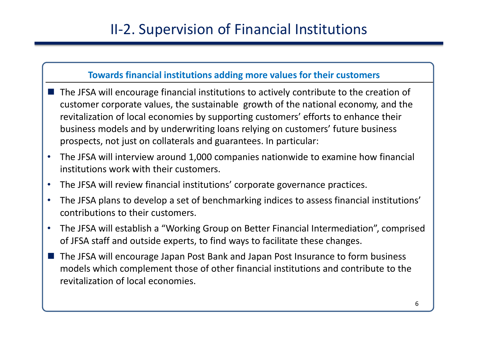# II-2. Supervision of Financial Institutions

### **Towards financial institutions adding more values for their customers**

- The JFSA will encourage financial institutions to actively contribute to the creation of customer corporate values, the sustainable growth of the national economy, and the revitalization of local economies by supporting customers' efforts to enhance their business models and by underwriting loans relying on customers' future business prospects, not just on collaterals and guarantees. In particular:
- The JFSA will interview around 1,000 companies nationwide to examine how financial institutions work with their customers.
- The JFSA will review financial institutions' corporate governance practices.
- The JFSA plans to develop a set of benchmarking indices to assess financial institutions' contributions to their customers.
- The JFSA will establish a "Working Group on Better Financial Intermediation", comprised of JFSA staff and outside experts, to find ways to facilitate these changes.
- The JFSA will encourage Japan Post Bank and Japan Post Insurance to form business models which complement those of other financial institutions and contribute to the revitalization of local economies.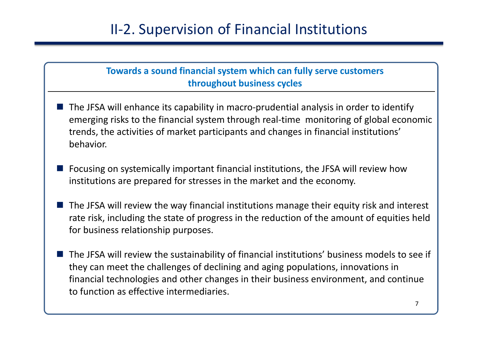# II-2. Supervision of Financial Institutions

### **Towards a sound financial system which can fully serve customers throughout business cycles**

- The JFSA will enhance its capability in macro-prudential analysis in order to identify emerging risks to the financial system through real-time monitoring of global economic trends, the activities of market participants and changes in financial institutions' behavior.
- Focusing on systemically important financial institutions, the JFSA will review how institutions are prepared for stresses in the market and the economy.
- The JFSA will review the way financial institutions manage their equity risk and interest rate risk, including the state of progress in the reduction of the amount of equities held for business relationship purposes.
- The JFSA will review the sustainability of financial institutions' business models to see if they can meet the challenges of declining and aging populations, innovations in financial technologies and other changes in their business environment, and continue to function as effective intermediaries.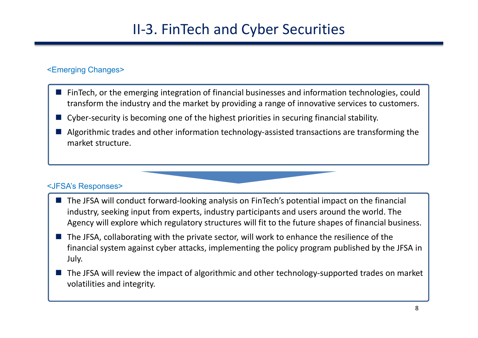# II-3. FinTech and Cyber Securities

### <Emerging Changes>

- FinTech, or the emerging integration of financial businesses and information technologies, could transform the industry and the market by providing a range of innovative services to customers.
- Cyber-security is becoming one of the highest priorities in securing financial stability.
- **Algorithmic trades and other information technology-assisted transactions are transforming the** market structure.

#### <JFSA's Responses>

- The JFSA will conduct forward-looking analysis on FinTech's potential impact on the financial industry, seeking input from experts, industry participants and users around the world. The Agency will explore which regulatory structures will fit to the future shapes of financial business.
- $\blacksquare$  The JFSA, collaborating with the private sector, will work to enhance the resilience of the financial system against cyber attacks, implementing the policy program published by the JFSA in July.
- The JFSA will review the impact of algorithmic and other technology-supported trades on market volatilities and integrity.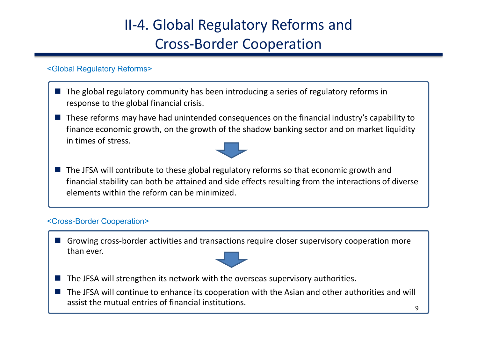# II-4. Global Regulatory Reforms and Cross-Border Cooperation

#### <Global Regulatory Reforms>

- $\blacksquare$  The global regulatory community has been introducing a series of regulatory reforms in response to the global financial crisis.
- These reforms may have had unintended consequences on the financial industry's capability to finance economic growth, on the growth of the shadow banking sector and on market liquidity in times of stress.



■ The JFSA will contribute to these global regulatory reforms so that economic growth and financial stability can both be attained and side effects resulting from the interactions of diverse elements within the reform can be minimized.

#### <Cross-Border Cooperation>

Growing cross-border activities and transactions require closer supervisory cooperation more than ever.



- The JFSA will strengthen its network with the overseas supervisory authorities.
- The JFSA will continue to enhance its cooperation with the Asian and other authorities and will assist the mutual entries of financial institutions.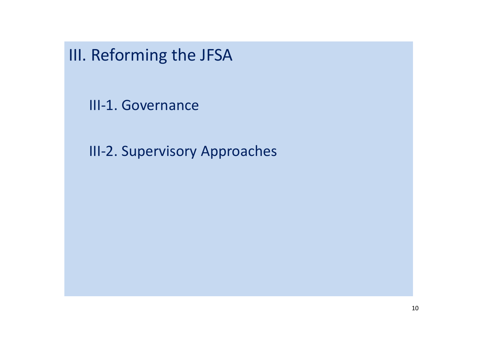III. Reforming the JFSA

III-1. Governance

III-2. Supervisory Approaches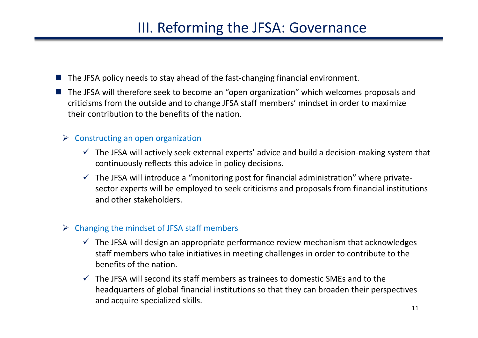## III. Reforming the JFSA: Governance

- $\blacksquare$  The JFSA policy needs to stay ahead of the fast-changing financial environment.
- The JFSA will therefore seek to become an "open organization" which welcomes proposals and criticisms from the outside and to change JFSA staff members' mindset in order to maximize their contribution to the benefits of the nation.

#### $\triangleright$  Constructing an open organization

- $\checkmark$  The JFSA will actively seek external experts' advice and build a decision-making system that continuously reflects this advice in policy decisions.
- $\checkmark$  The JFSA will introduce a "monitoring post for financial administration" where privatesector experts will be employed to seek criticisms and proposals from financial institutions and other stakeholders.

### $\triangleright$  Changing the mindset of JFSA staff members

- $\checkmark$  The JFSA will design an appropriate performance review mechanism that acknowledges staff members who take initiatives in meeting challenges in order to contribute to the benefits of the nation.
- $\checkmark$  The JFSA will second its staff members as trainees to domestic SMEs and to the headquarters of global financial institutions so that they can broaden their perspectives and acquire specialized skills.